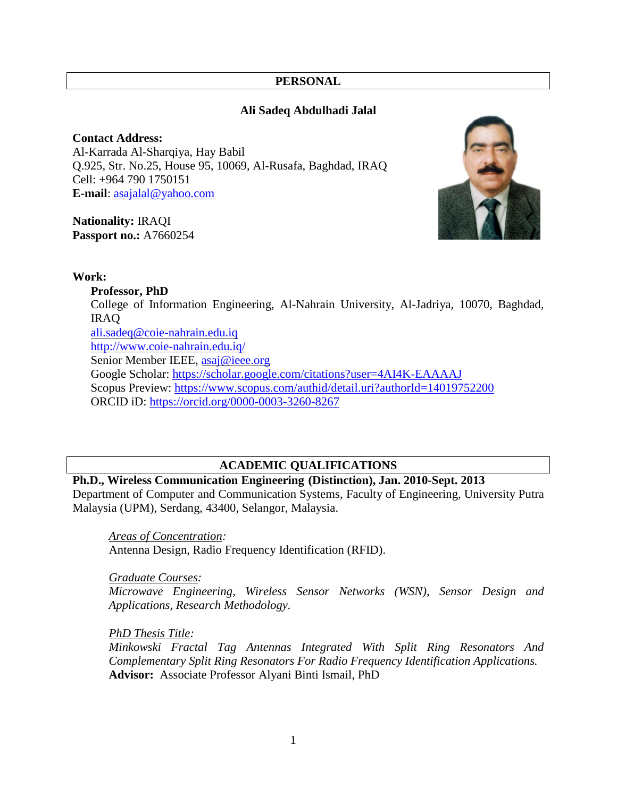# **PERSONAL**

## **Ali Sadeq Abdulhadi Jalal**

**Contact Address:** Al-Karrada Al-Sharqiya, Hay Babil Q.925, Str. No.25, House 95, 10069, Al-Rusafa, Baghdad, IRAQ Cell: +964 790 1750151 **E-mail**: [asajalal@yahoo.com](mailto:asajalal@yahoo.com)

**Nationality:** IRAQI **Passport no.:** A7660254



#### **Work:**

### **Professor, PhD**

College of Information Engineering, Al-Nahrain University, Al-Jadriya, 10070, Baghdad, IRAQ [ali.sadeq@coie-nahrain.edu.iq](mailto:ali.sadeq@coie-nahrain.edu.iq) <http://www.coie-nahrain.edu.iq/> Senior Member IEEE, [asaj@ieee.org](mailto:asaj@ieee.org) Google Scholar:<https://scholar.google.com/citations?user=4AI4K-EAAAAJ> Scopus Preview:<https://www.scopus.com/authid/detail.uri?authorId=14019752200> ORCID iD:<https://orcid.org/0000-0003-3260-8267>

# **ACADEMIC QUALIFICATIONS**

**Ph.D., Wireless Communication Engineering (Distinction), Jan. 2010-Sept. 2013** Department of Computer and Communication Systems, Faculty of Engineering, University Putra Malaysia (UPM), Serdang, 43400, Selangor, Malaysia.

*Areas of Concentration:*  Antenna Design, Radio Frequency Identification (RFID).

*Graduate Courses:*

*Microwave Engineering, Wireless Sensor Networks (WSN), Sensor Design and Applications, Research Methodology.* 

*PhD Thesis Title:*

*Minkowski Fractal Tag Antennas Integrated With Split Ring Resonators And Complementary Split Ring Resonators For Radio Frequency Identification Applications.* **Advisor:** Associate Professor Alyani Binti Ismail, PhD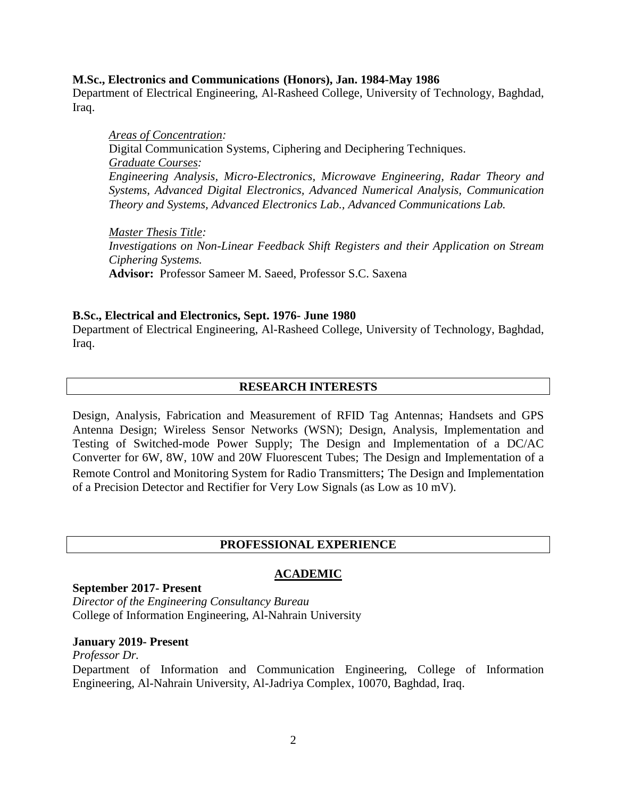#### **M.Sc., Electronics and Communications (Honors), Jan. 1984-May 1986**

Department of Electrical Engineering, Al-Rasheed College, University of Technology, Baghdad, Iraq.

*Areas of Concentration:*  Digital Communication Systems, Ciphering and Deciphering Techniques. *Graduate Courses: Engineering Analysis, Micro-Electronics, Microwave Engineering, Radar Theory and Systems, Advanced Digital Electronics, Advanced Numerical Analysis, Communication Theory and Systems, Advanced Electronics Lab., Advanced Communications Lab.*

*Master Thesis Title: Investigations on Non-Linear Feedback Shift Registers and their Application on Stream Ciphering Systems.* **Advisor:** Professor Sameer M. Saeed, Professor S.C. Saxena

### **B.Sc., Electrical and Electronics, Sept. 1976- June 1980**

Department of Electrical Engineering, Al-Rasheed College, University of Technology, Baghdad, Iraq.

## **RESEARCH INTERESTS**

Design, Analysis, Fabrication and Measurement of RFID Tag Antennas; Handsets and GPS Antenna Design; Wireless Sensor Networks (WSN); Design, Analysis, Implementation and Testing of Switched-mode Power Supply; The Design and Implementation of a DC/AC Converter for 6W, 8W, 10W and 20W Fluorescent Tubes; The Design and Implementation of a Remote Control and Monitoring System for Radio Transmitters; The Design and Implementation of a Precision Detector and Rectifier for Very Low Signals (as Low as 10 mV).

#### **PROFESSIONAL EXPERIENCE**

#### **ACADEMIC**

#### **September 2017- Present**

*Director of the Engineering Consultancy Bureau* College of Information Engineering, Al-Nahrain University

#### **January 2019- Present**

*Professor Dr.* Department of Information and Communication Engineering, College of Information Engineering, Al-Nahrain University, Al-Jadriya Complex, 10070, Baghdad, Iraq.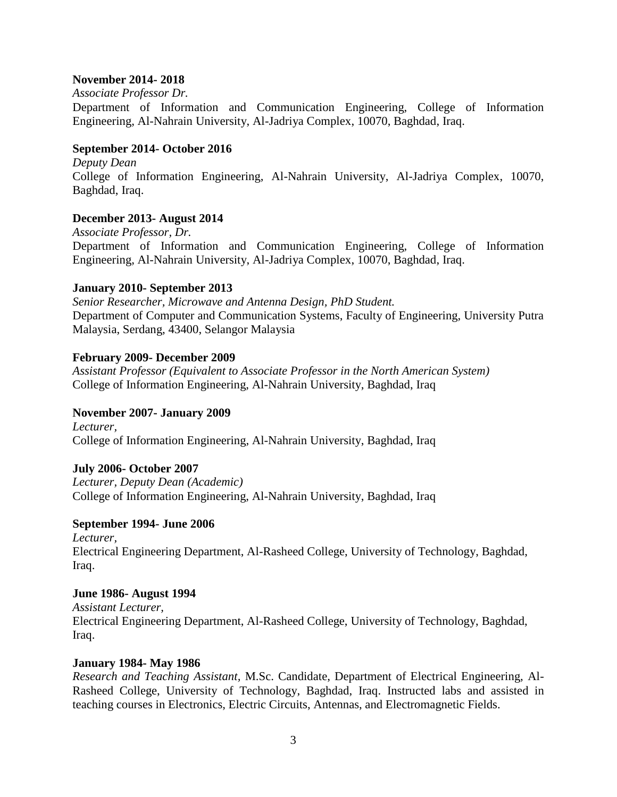## **November 2014- 2018**

*Associate Professor Dr.*

Department of Information and Communication Engineering, College of Information Engineering, Al-Nahrain University, Al-Jadriya Complex, 10070, Baghdad, Iraq.

# **September 2014- October 2016**

*Deputy Dean* College of Information Engineering, Al-Nahrain University, Al-Jadriya Complex, 10070, Baghdad, Iraq.

# **December 2013- August 2014**

*Associate Professor, Dr.* Department of Information and Communication Engineering, College of Information Engineering, Al-Nahrain University, Al-Jadriya Complex, 10070, Baghdad, Iraq.

# **January 2010- September 2013**

*Senior Researcher, Microwave and Antenna Design, PhD Student.* Department of Computer and Communication Systems, Faculty of Engineering, University Putra Malaysia, Serdang, 43400, Selangor Malaysia

# **February 2009- December 2009**

*Assistant Professor (Equivalent to Associate Professor in the North American System)* College of Information Engineering, Al-Nahrain University, Baghdad, Iraq

# **November 2007- January 2009**

*Lecturer,* College of Information Engineering, Al-Nahrain University, Baghdad, Iraq

# **July 2006- October 2007**

*Lecturer, Deputy Dean (Academic)* College of Information Engineering, Al-Nahrain University, Baghdad, Iraq

## **September 1994- June 2006**

*Lecturer,* Electrical Engineering Department, Al-Rasheed College, University of Technology, Baghdad, Iraq.

## **June 1986- August 1994**

*Assistant Lecturer,* Electrical Engineering Department, Al-Rasheed College, University of Technology, Baghdad, Iraq.

## **January 1984- May 1986**

*Research and Teaching Assistant,* M.Sc. Candidate, Department of Electrical Engineering, Al-Rasheed College, University of Technology, Baghdad, Iraq. Instructed labs and assisted in teaching courses in Electronics, Electric Circuits, Antennas, and Electromagnetic Fields.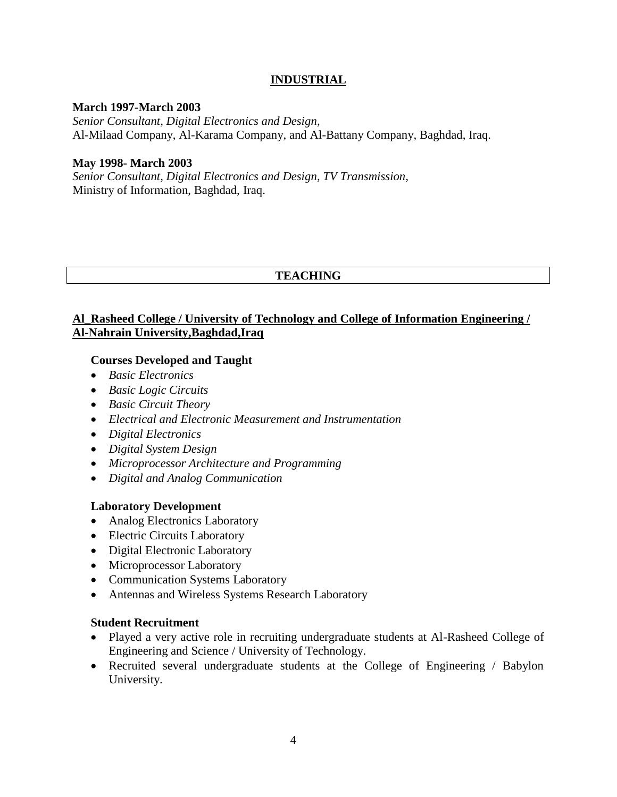# **INDUSTRIAL**

### **March 1997-March 2003**

*Senior Consultant, Digital Electronics and Design,* Al-Milaad Company, Al-Karama Company, and Al-Battany Company, Baghdad, Iraq.

### **May 1998- March 2003**

*Senior Consultant, Digital Electronics and Design, TV Transmission,* Ministry of Information, Baghdad, Iraq.

# **TEACHING**

# **Al\_Rasheed College / University of Technology and College of Information Engineering / Al-Nahrain University,Baghdad,Iraq**

## **Courses Developed and Taught**

- *Basic Electronics*
- *Basic Logic Circuits*
- *Basic Circuit Theory*
- *Electrical and Electronic Measurement and Instrumentation*
- *Digital Electronics*
- *Digital System Design*
- *Microprocessor Architecture and Programming*
- *Digital and Analog Communication*

## **Laboratory Development**

- Analog Electronics Laboratory
- Electric Circuits Laboratory
- Digital Electronic Laboratory
- Microprocessor Laboratory
- Communication Systems Laboratory
- Antennas and Wireless Systems Research Laboratory

#### **Student Recruitment**

- Played a very active role in recruiting undergraduate students at Al-Rasheed College of Engineering and Science / University of Technology.
- Recruited several undergraduate students at the College of Engineering / Babylon University.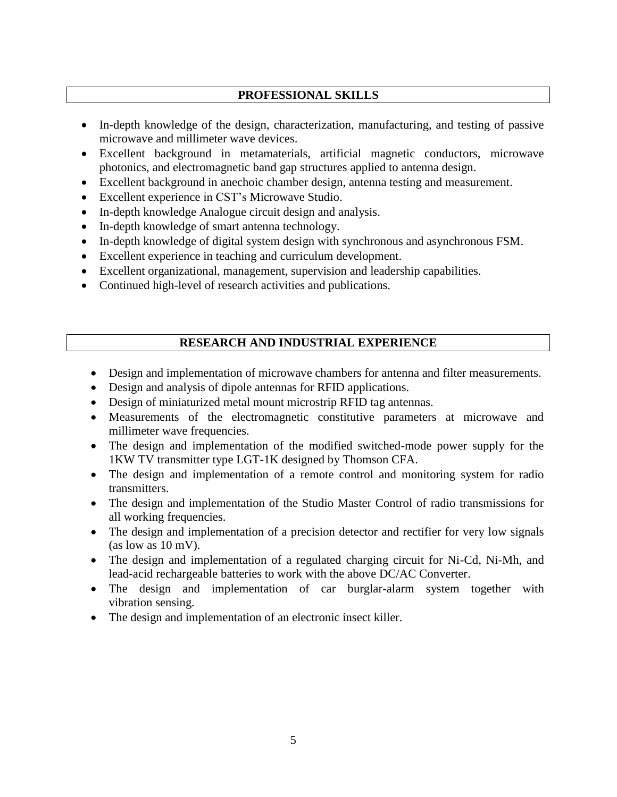# **PROFESSIONAL SKILLS**

- In-depth knowledge of the design, characterization, manufacturing, and testing of passive microwave and millimeter wave devices.
- Excellent background in metamaterials, artificial magnetic conductors, microwave photonics, and electromagnetic band gap structures applied to antenna design.
- Excellent background in anechoic chamber design, antenna testing and measurement.
- Excellent experience in CST's Microwave Studio.
- In-depth knowledge Analogue circuit design and analysis.
- In-depth knowledge of smart antenna technology.
- In-depth knowledge of digital system design with synchronous and asynchronous FSM.
- Excellent experience in teaching and curriculum development.
- Excellent organizational, management, supervision and leadership capabilities.
- Continued high-level of research activities and publications.

# **RESEARCH AND INDUSTRIAL EXPERIENCE**

- Design and implementation of microwave chambers for antenna and filter measurements.
- Design and analysis of dipole antennas for RFID applications.
- Design of miniaturized metal mount microstrip RFID tag antennas.
- Measurements of the electromagnetic constitutive parameters at microwave and millimeter wave frequencies.
- The design and implementation of the modified switched-mode power supply for the 1KW TV transmitter type LGT-1K designed by Thomson CFA.
- The design and implementation of a remote control and monitoring system for radio transmitters.
- The design and implementation of the Studio Master Control of radio transmissions for all working frequencies.
- The design and implementation of a precision detector and rectifier for very low signals (as low as 10 mV).
- The design and implementation of a regulated charging circuit for Ni-Cd, Ni-Mh, and lead-acid rechargeable batteries to work with the above DC/AC Converter.
- The design and implementation of car burglar-alarm system together with vibration sensing.
- The design and implementation of an electronic insect killer.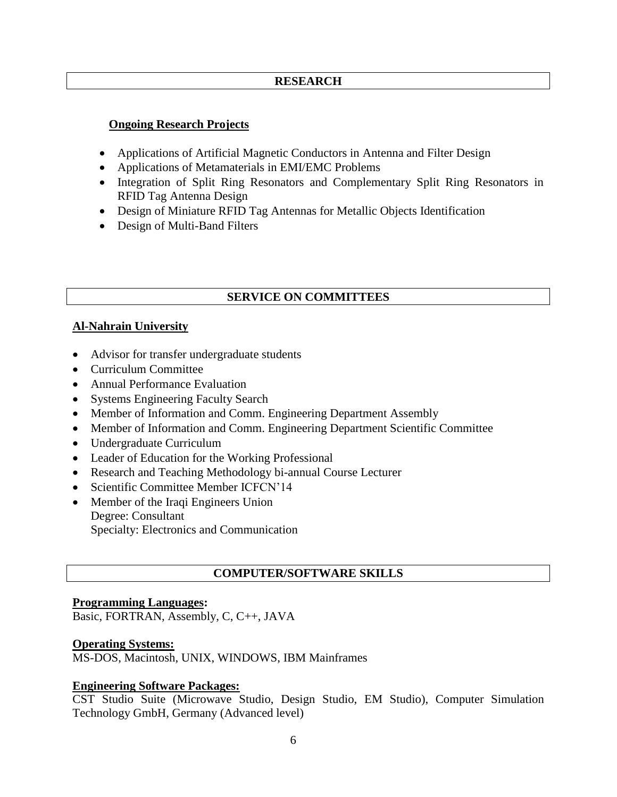# **RESEARCH**

## **Ongoing Research Projects**

- Applications of Artificial Magnetic Conductors in Antenna and Filter Design
- Applications of Metamaterials in EMI/EMC Problems
- Integration of Split Ring Resonators and Complementary Split Ring Resonators in RFID Tag Antenna Design
- Design of Miniature RFID Tag Antennas for Metallic Objects Identification
- Design of Multi-Band Filters

# **SERVICE ON COMMITTEES**

# **Al-Nahrain University**

- Advisor for transfer undergraduate students
- Curriculum Committee
- Annual Performance Evaluation
- Systems Engineering Faculty Search
- Member of Information and Comm. Engineering Department Assembly
- Member of Information and Comm. Engineering Department Scientific Committee
- Undergraduate Curriculum
- Leader of Education for the Working Professional
- Research and Teaching Methodology bi-annual Course Lecturer
- Scientific Committee Member ICFCN'14
- Member of the Iraqi Engineers Union Degree: Consultant Specialty: Electronics and Communication

# **COMPUTER/SOFTWARE SKILLS**

## **Programming Languages:**

Basic, FORTRAN, Assembly, C, C++, JAVA

## **Operating Systems:**

MS-DOS, Macintosh, UNIX, WINDOWS, IBM Mainframes

## **Engineering Software Packages:**

CST Studio Suite (Microwave Studio, Design Studio, EM Studio), Computer Simulation Technology GmbH, Germany (Advanced level)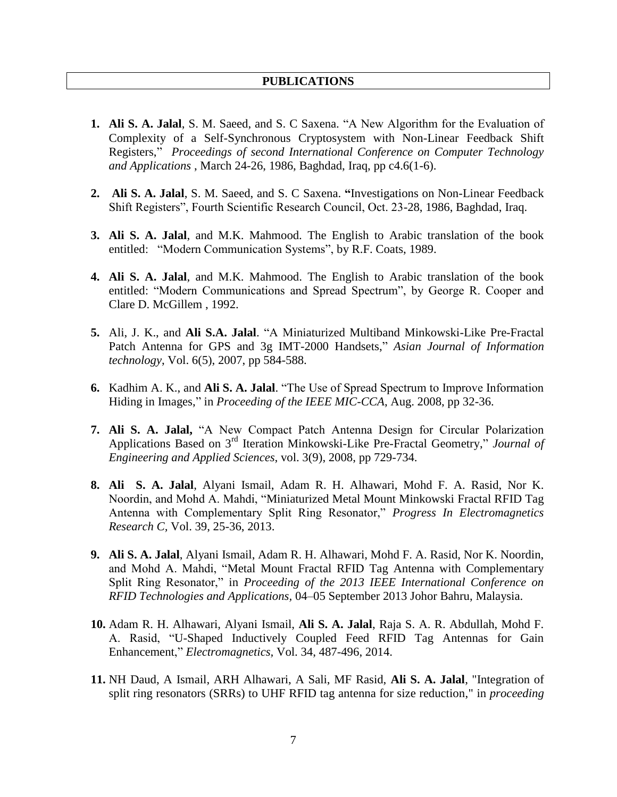### **PUBLICATIONS**

- **1. Ali S. A. Jalal**, S. M. Saeed, and S. C Saxena. "A New Algorithm for the Evaluation of Complexity of a Self-Synchronous Cryptosystem with Non-Linear Feedback Shift Registers," *Proceedings of second International Conference on Computer Technology and Applications* , March 24-26, 1986, Baghdad, Iraq, pp c4.6(1-6).
- **2. Ali S. A. Jalal**, S. M. Saeed, and S. C Saxena. **"**Investigations on Non-Linear Feedback Shift Registers", Fourth Scientific Research Council, Oct. 23-28, 1986, Baghdad, Iraq.
- **3. Ali S. A. Jalal**, and M.K. Mahmood. The English to Arabic translation of the book entitled: "Modern Communication Systems", by R.F. Coats, 1989.
- **4. Ali S. A. Jalal**, and M.K. Mahmood. The English to Arabic translation of the book entitled: "Modern Communications and Spread Spectrum", by George R. Cooper and Clare D. McGillem , 1992.
- **5.** Ali, J. K., and **Ali S.A. Jalal**. "A Miniaturized Multiband Minkowski-Like Pre-Fractal Patch Antenna for GPS and 3g IMT-2000 Handsets," *Asian Journal of Information technology*, Vol. 6(5), 2007, pp 584-588.
- **6.** Kadhim A. K., and **Ali S. A. Jalal**. "The Use of Spread Spectrum to Improve Information Hiding in Images," in *Proceeding of the IEEE MIC-CCA*, Aug. 2008, pp 32-36.
- **7. Ali S. A. Jalal,** "A New Compact Patch Antenna Design for Circular Polarization Applications Based on 3rd Iteration Minkowski-Like Pre-Fractal Geometry," *Journal of Engineering and Applied Sciences*, vol. 3(9), 2008, pp 729-734.
- **8. Ali S. A. Jalal**, Alyani Ismail, Adam R. H. Alhawari, Mohd F. A. Rasid, Nor K. Noordin, and Mohd A. Mahdi, "Miniaturized Metal Mount Minkowski Fractal RFID Tag Antenna with Complementary Split Ring Resonator," *Progress In Electromagnetics Research C,* Vol. 39, 25-36, 2013.
- **9. Ali S. A. Jalal**, Alyani Ismail, Adam R. H. Alhawari, Mohd F. A. Rasid, Nor K. Noordin, and Mohd A. Mahdi, "Metal Mount Fractal RFID Tag Antenna with Complementary Split Ring Resonator," in *Proceeding of the 2013 IEEE International Conference on RFID Technologies and Applications,* 04–05 September 2013 Johor Bahru, Malaysia.
- **10.** Adam R. H. Alhawari, Alyani Ismail, **Ali S. A. Jalal**, Raja S. A. R. Abdullah, Mohd F. A. Rasid, "U-Shaped Inductively Coupled Feed RFID Tag Antennas for Gain Enhancement," *Electromagnetics,* Vol. 34, 487-496, 2014.
- **11.** NH Daud, A Ismail, ARH Alhawari, A Sali, MF Rasid, **Ali S. A. Jalal**, "Integration of split ring resonators (SRRs) to UHF RFID tag antenna for size reduction," in *proceeding*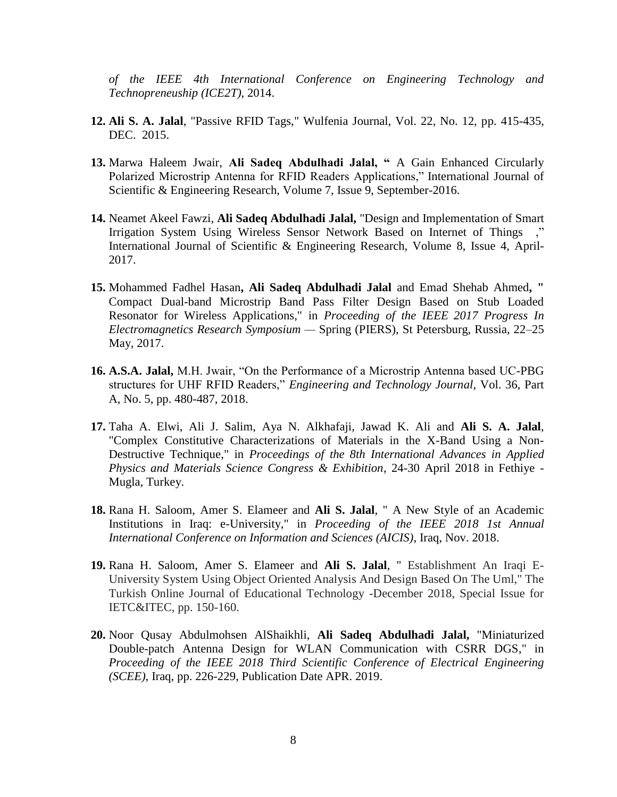*of the IEEE 4th International Conference on Engineering Technology and Technopreneuship (ICE2T)*, 2014.

- **12. Ali S. A. Jalal**, "Passive RFID Tags," Wulfenia Journal, Vol. 22, No. 12, pp. 415-435, DEC. 2015.
- **13.** Marwa Haleem Jwair, **Ali Sadeq Abdulhadi Jalal, "** A Gain Enhanced Circularly Polarized Microstrip Antenna for RFID Readers Applications," International Journal of Scientific & Engineering Research, Volume 7, Issue 9, September-2016.
- **14.** Neamet Akeel Fawzi, **Ali Sadeq Abdulhadi Jalal,** "Design and Implementation of Smart Irrigation System Using Wireless Sensor Network Based on Internet of Things ," International Journal of Scientific & Engineering Research, Volume 8, Issue 4, April-2017.
- **15.** Mohammed Fadhel Hasan**, Ali Sadeq Abdulhadi Jalal** and Emad Shehab Ahmed**, "** Compact Dual-band Microstrip Band Pass Filter Design Based on Stub Loaded Resonator for Wireless Applications," in *Proceeding of the IEEE 2017 Progress In Electromagnetics Research Symposium —* Spring (PIERS), St Petersburg, Russia, 22–25 May, 2017.
- **16. A.S.A. Jalal,** M.H. Jwair, "On the Performance of a Microstrip Antenna based UC-PBG structures for UHF RFID Readers," *Engineering and Technology Journal*, Vol. 36, Part A, No. 5, pp. 480-487, 2018.
- **17.** Taha A. Elwi, Ali J. Salim, Aya N. Alkhafaji, Jawad K. Ali and **Ali S. A. Jalal**, "Complex Constitutive Characterizations of Materials in the X-Band Using a Non-Destructive Technique," in *Proceedings of the 8th International Advances in Applied Physics and Materials Science Congress & Exhibition*, 24-30 April 2018 in Fethiye - Mugla, Turkey.
- **18.** Rana H. Saloom, Amer S. Elameer and **Ali S. Jalal**, " A New Style of an Academic Institutions in Iraq: e-University," in *Proceeding of the IEEE 2018 1st Annual International Conference on Information and Sciences (AICIS)*, Iraq, Nov. 2018.
- **19.** Rana H. Saloom, Amer S. Elameer and **Ali S. Jalal**, " Establishment An Iraqi E-University System Using Object Oriented Analysis And Design Based On The Uml," The Turkish Online Journal of Educational Technology -December 2018, Special Issue for IETC&ITEC, pp. 150-160.
- **20.** Noor Qusay Abdulmohsen AlShaikhli, **Ali Sadeq Abdulhadi Jalal,** "Miniaturized Double-patch Antenna Design for WLAN Communication with CSRR DGS," in *Proceeding of the IEEE 2018 Third Scientific Conference of Electrical Engineering (SCEE)*, Iraq, pp. 226-229, Publication Date APR. 2019.